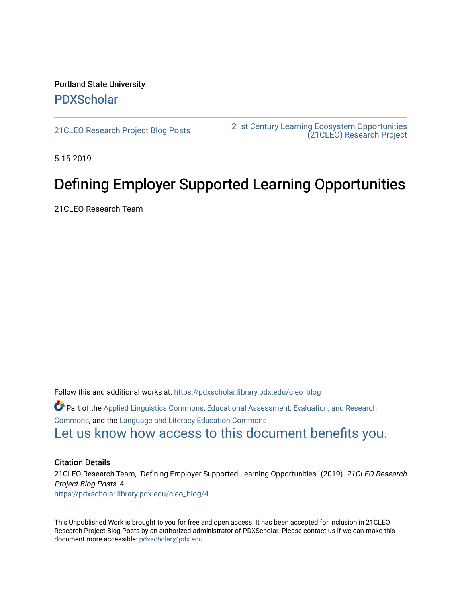Portland State University [PDXScholar](https://pdxscholar.library.pdx.edu/)

[21CLEO Research Project Blog Posts](https://pdxscholar.library.pdx.edu/cleo_blog) [21st Century Learning Ecosystem Opportunities](https://pdxscholar.library.pdx.edu/cleo)  [\(21CLEO\) Research Project](https://pdxscholar.library.pdx.edu/cleo) 

5-15-2019

# Defining Employer Supported Learning Opportunities

21CLEO Research Team

Follow this and additional works at: [https://pdxscholar.library.pdx.edu/cleo\\_blog](https://pdxscholar.library.pdx.edu/cleo_blog?utm_source=pdxscholar.library.pdx.edu%2Fcleo_blog%2F4&utm_medium=PDF&utm_campaign=PDFCoverPages)  Part of the [Applied Linguistics Commons,](http://network.bepress.com/hgg/discipline/373?utm_source=pdxscholar.library.pdx.edu%2Fcleo_blog%2F4&utm_medium=PDF&utm_campaign=PDFCoverPages) [Educational Assessment, Evaluation, and Research](http://network.bepress.com/hgg/discipline/796?utm_source=pdxscholar.library.pdx.edu%2Fcleo_blog%2F4&utm_medium=PDF&utm_campaign=PDFCoverPages)  [Commons](http://network.bepress.com/hgg/discipline/796?utm_source=pdxscholar.library.pdx.edu%2Fcleo_blog%2F4&utm_medium=PDF&utm_campaign=PDFCoverPages), and the [Language and Literacy Education Commons](http://network.bepress.com/hgg/discipline/1380?utm_source=pdxscholar.library.pdx.edu%2Fcleo_blog%2F4&utm_medium=PDF&utm_campaign=PDFCoverPages)  [Let us know how access to this document benefits you.](http://library.pdx.edu/services/pdxscholar-services/pdxscholar-feedback/?ref=https://pdxscholar.library.pdx.edu/cleo_blog/4) 

#### Citation Details

21CLEO Research Team, "Defining Employer Supported Learning Opportunities" (2019). 21CLEO Research Project Blog Posts. 4. [https://pdxscholar.library.pdx.edu/cleo\\_blog/4](https://pdxscholar.library.pdx.edu/cleo_blog/4?utm_source=pdxscholar.library.pdx.edu%2Fcleo_blog%2F4&utm_medium=PDF&utm_campaign=PDFCoverPages) 

This Unpublished Work is brought to you for free and open access. It has been accepted for inclusion in 21CLEO Research Project Blog Posts by an authorized administrator of PDXScholar. Please contact us if we can make this document more accessible: [pdxscholar@pdx.edu.](mailto:pdxscholar@pdx.edu)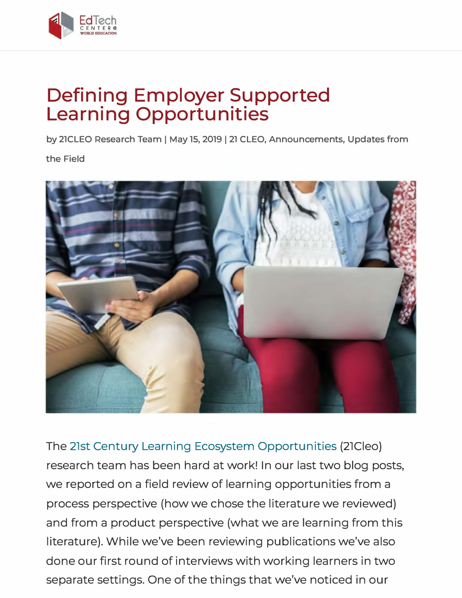

# **Defining Employer Supported Learning Opportunities**

**by 21CLEO Research Team** I **May 15, 2019** I **21 CLEO, Announcements, Updates from** 

**the Field** 



The 21st Century Learning Ecosystem Opportunities (21Cleo) research team has been hard at work! In our last two blog posts, we reported on a field review of learning opportunities from a process perspective (how we chose the literature we reviewed) and from a product perspective (what we are learning from this literature). While we've been reviewing publications we've also done our first round of interviews with working learners in two separate settings. One of the things that we've noticed in our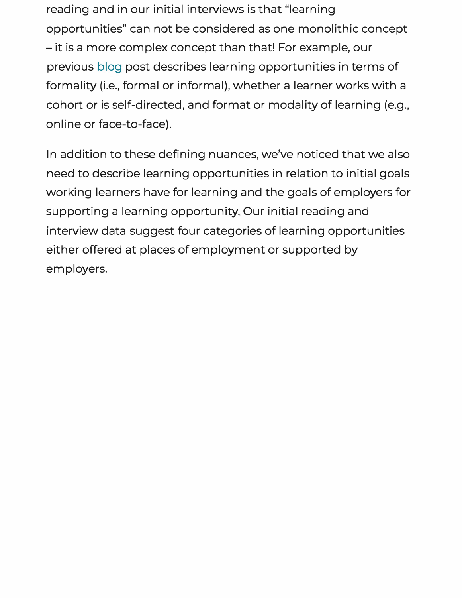reading and in our initial interviews is that "learning opportunities" can not be considered as one monolithic concept - it is a more complex concept than that! For example, our previous blog post describes learning opportunities in terms of formality (i.e., formal or informal), whether a learner works with a cohort or is self-directed, and format or modality of learning (e.g., online or face-to-face).

In addition to these defining nuances, we've noticed that we also need to describe learning opportunities in relation to initial goals working learners have for learning and the goals of employers for supporting a learning opportunity. Our initial reading and interview data suggest four categories of learning opportunities either offered at places of employment or supported by employers.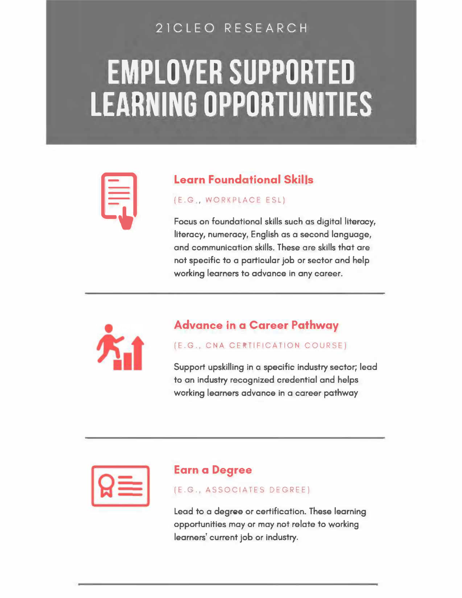## 21CLEO RESEARCH

# **EMPLOYER SUPPORTED LEARNING OPPORTUNITIES**



#### (E.G , WORKPLACE ESL)

**idearn Foundational Skills**<br> **idea, MORKPLACE ESL)**<br> **Focus on foundational skills such as<br>
literacy, numeracy, English as a sec Focus on foundational skills such as digital literacy, literacy, numeracy, English as a second language, and communication skills. These are skills that are not specific to a particular job or sector and help working learners to advance in any career.** 



#### **Advance in a Career Pathway**

#### (E.G., CNA CERTIFICATION COURSE)

**Support upskilling in a specific industry sector; lead to an industry recognized credential and helps working learners advance in a career pathway** 

### **Earn a Degree**

(E.G., ASSOCIATES DEGREE)

**Lead to a degree or certification. These learning opportunities may or may not relate to working learners' current job or industry.**